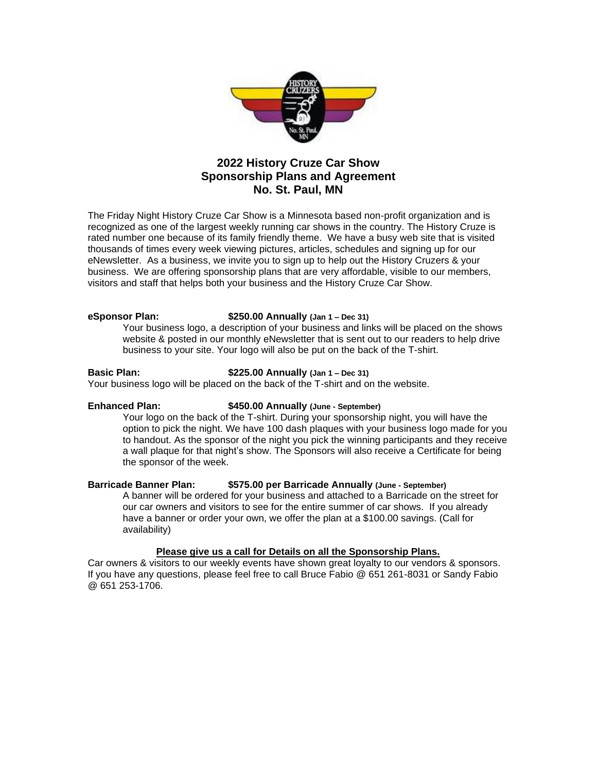

# **2022 History Cruze Car Show Sponsorship Plans and Agreement No. St. Paul, MN**

The Friday Night History Cruze Car Show is a Minnesota based non-profit organization and is recognized as one of the largest weekly running car shows in the country. The History Cruze is rated number one because of its family friendly theme. We have a busy web site that is visited thousands of times every week viewing pictures, articles, schedules and signing up for our eNewsletter. As a business, we invite you to sign up to help out the History Cruzers & your business. We are offering sponsorship plans that are very affordable, visible to our members, visitors and staff that helps both your business and the History Cruze Car Show.

### **eSponsor Plan: \$250.00 Annually (Jan 1 – Dec 31)**

Your business logo, a description of your business and links will be placed on the shows website & posted in our monthly eNewsletter that is sent out to our readers to help drive business to your site. Your logo will also be put on the back of the T-shirt.

### **Basic Plan: \$225.00 Annually (Jan 1 – Dec 31)**

Your business logo will be placed on the back of the T-shirt and on the website.

## **Enhanced Plan: \$450.00 Annually (June - September)**

Your logo on the back of the T-shirt. During your sponsorship night, you will have the option to pick the night. We have 100 dash plaques with your business logo made for you to handout. As the sponsor of the night you pick the winning participants and they receive a wall plaque for that night's show. The Sponsors will also receive a Certificate for being the sponsor of the week.

## **Barricade Banner Plan: \$575.00 per Barricade Annually (June - September)**

A banner will be ordered for your business and attached to a Barricade on the street for our car owners and visitors to see for the entire summer of car shows. If you already have a banner or order your own, we offer the plan at a \$100.00 savings. (Call for availability)

## **Please give us a call for Details on all the Sponsorship Plans.**

Car owners & visitors to our weekly events have shown great loyalty to our vendors & sponsors. If you have any questions, please feel free to call Bruce Fabio @ 651 261-8031 or Sandy Fabio @ 651 253-1706.